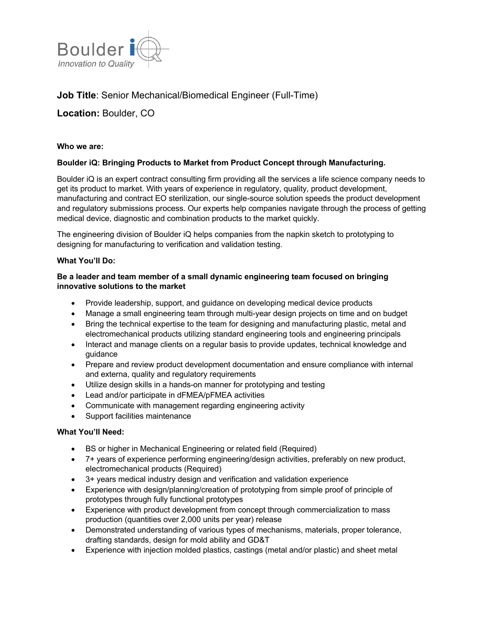

# **Job Title**: Senior Mechanical/Biomedical Engineer (Full-Time)

## **Location:** Boulder, CO

## **Who we are:**

## **Boulder iQ: Bringing Products to Market from Product Concept through Manufacturing.**

Boulder iQ is an expert contract consulting firm providing all the services a life science company needs to get its product to market. With years of experience in regulatory, quality, product development, manufacturing and contract EO sterilization, our single-source solution speeds the product development and regulatory submissions process. Our experts help companies navigate through the process of getting medical device, diagnostic and combination products to the market quickly.

The engineering division of Boulder iQ helps companies from the napkin sketch to prototyping to designing for manufacturing to verification and validation testing.

#### **What You'll Do:**

## **Be a leader and team member of a small dynamic engineering team focused on bringing innovative solutions to the market**

- Provide leadership, support, and guidance on developing medical device products
- Manage a small engineering team through multi-year design projects on time and on budget
- Bring the technical expertise to the team for designing and manufacturing plastic, metal and electromechanical products utilizing standard engineering tools and engineering principals
- Interact and manage clients on a regular basis to provide updates, technical knowledge and guidance
- Prepare and review product development documentation and ensure compliance with internal and externa, quality and regulatory requirements
- Utilize design skills in a hands-on manner for prototyping and testing
- Lead and/or participate in dFMEA/pFMEA activities
- Communicate with management regarding engineering activity
- Support facilities maintenance

#### **What You'll Need:**

- BS or higher in Mechanical Engineering or related field (Required)
- 7+ years of experience performing engineering/design activities, preferably on new product, electromechanical products (Required)
- 3+ years medical industry design and verification and validation experience
- Experience with design/planning/creation of prototyping from simple proof of principle of prototypes through fully functional prototypes
- Experience with product development from concept through commercialization to mass production (quantities over 2,000 units per year) release
- Demonstrated understanding of various types of mechanisms, materials, proper tolerance, drafting standards, design for mold ability and GD&T
- Experience with injection molded plastics, castings (metal and/or plastic) and sheet metal